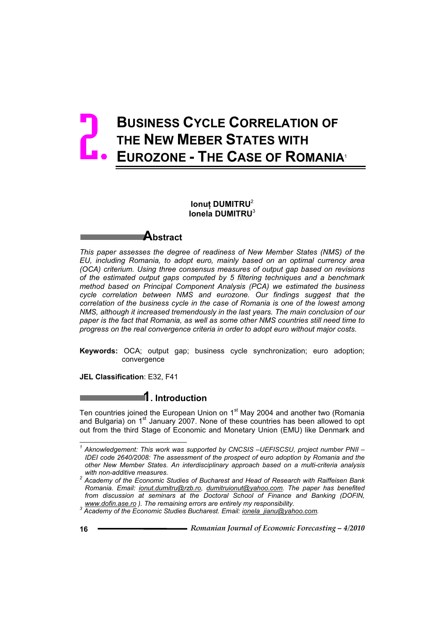# **BUSINESS CYCLE CORRELATION OF THE NEW MEBER STATES WITH EUROZONE - THE CASE OF ROMANIA**<sup>1</sup> 2.

### **Ionut DUMITRU<sup>2</sup> Ionela DUMITRU**<sup>3</sup>

## **Abstract**

*This paper assesses the degree of readiness of New Member States (NMS) of the EU, including Romania, to adopt euro, mainly based on an optimal currency area (OCA) criterium. Using three consensus measures of output gap based on revisions of the estimated output gaps computed by 5 filtering techniques and a benchmark method based on Principal Component Analysis (PCA) we estimated the business cycle correlation between NMS and eurozone. Our findings suggest that the correlation of the business cycle in the case of Romania is one of the lowest among NMS, although it increased tremendously in the last years. The main conclusion of our paper is the fact that Romania, as well as some other NMS countries still need time to progress on the real convergence criteria in order to adopt euro without major costs.*

**Keywords:** OCA; output gap; business cycle synchronization; euro adoption; convergence

**JEL Classification**: E32, F41

## **1. Introduction**

Ten countries joined the European Union on 1<sup>st</sup> May 2004 and another two (Romania and Bulgaria) on  $1<sup>st</sup>$  January 2007. None of these countries has been allowed to opt out from the third Stage of Economic and Monetary Union (EMU) like Denmark and

 $\overline{a}$ 

<sup>&</sup>lt;sup>1</sup> Aknowledgement: This work was supported by CNCSIS -UEFISCSU, project number PNII -*IDEI code 2640/2008: The assessment of the prospect of euro adoption by Romania and the other New Member States. An interdisciplinary approach based on a multi-criteria analysis* 

*with non-additive measures. 2 Academy of the Economic Studies of Bucharest and Head of Research with Raiffeisen Bank Romania. Email: ionut.dumitru@rzb.ro, dumitruionut@yahoo.com. The paper has benefited from discussion at seminars at the Doctoral School of Finance and Banking (DOFIN,* 

*www.dofin.ase.ro ). The remaining errors are entirely my responsibility. 3 Academy of the Economic Studies Bucharest. Email: ionela\_jianu@yahoo.com.*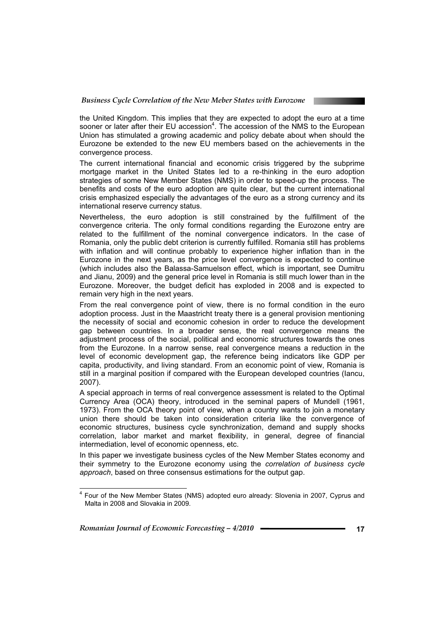

the United Kingdom. This implies that they are expected to adopt the euro at a time sooner or later after their EU accession<sup>4</sup>. The accession of the NMS to the European Union has stimulated a growing academic and policy debate about when should the Eurozone be extended to the new EU members based on the achievements in the convergence process.

The current international financial and economic crisis triggered by the subprime mortgage market in the United States led to a re-thinking in the euro adoption strategies of some New Member States (NMS) in order to speed-up the process. The benefits and costs of the euro adoption are quite clear, but the current international crisis emphasized especially the advantages of the euro as a strong currency and its international reserve currency status.

Nevertheless, the euro adoption is still constrained by the fulfillment of the convergence criteria. The only formal conditions regarding the Eurozone entry are related to the fulfillment of the nominal convergence indicators. In the case of Romania, only the public debt criterion is currently fulfilled. Romania still has problems with inflation and will continue probably to experience higher inflation than in the Eurozone in the next years, as the price level convergence is expected to continue (which includes also the Balassa-Samuelson effect, which is important, see Dumitru and Jianu, 2009) and the general price level in Romania is still much lower than in the Eurozone. Moreover, the budget deficit has exploded in 2008 and is expected to remain very high in the next years.

From the real convergence point of view, there is no formal condition in the euro adoption process. Just in the Maastricht treaty there is a general provision mentioning the necessity of social and economic cohesion in order to reduce the development gap between countries. In a broader sense, the real convergence means the adjustment process of the social, political and economic structures towards the ones from the Eurozone. In a narrow sense, real convergence means a reduction in the level of economic development gap, the reference being indicators like GDP per capita, productivity, and living standard. From an economic point of view, Romania is still in a marginal position if compared with the European developed countries (Iancu, 2007).

A special approach in terms of real convergence assessment is related to the Optimal Currency Area (OCA) theory, introduced in the seminal papers of Mundell (1961, 1973). From the OCA theory point of view, when a country wants to join a monetary union there should be taken into consideration criteria like the convergence of economic structures, business cycle synchronization, demand and supply shocks correlation, labor market and market flexibility, in general, degree of financial intermediation, level of economic openness, etc.

In this paper we investigate business cycles of the New Member States economy and their symmetry to the Eurozone economy using the *correlation of business cycle approach*, based on three consensus estimations for the output gap.

*Romanian Journal of Economic Forecasting – 4/2010* **<sup>17</sup>**

 $\overline{a}$ 

<sup>&</sup>lt;sup>4</sup> Four of the New Member States (NMS) adopted euro already: Slovenia in 2007, Cyprus and Malta in 2008 and Slovakia in 2009.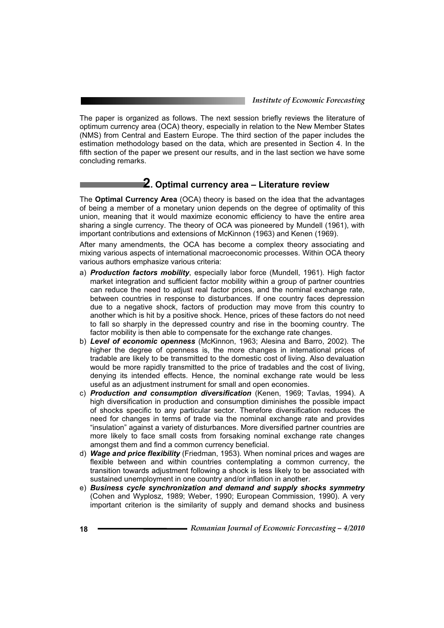The paper is organized as follows. The next session briefly reviews the literature of optimum currency area (OCA) theory, especially in relation to the New Member States (NMS) from Central and Eastern Europe. The third section of the paper includes the estimation methodology based on the data, which are presented in Section 4. In the fifth section of the paper we present our results, and in the last section we have some concluding remarks.

## **2. Optimal currency area – Literature review**

The **Optimal Currency Area** (OCA) theory is based on the idea that the advantages of being a member of a monetary union depends on the degree of optimality of this union, meaning that it would maximize economic efficiency to have the entire area sharing a single currency. The theory of OCA was pioneered by Mundell (1961), with important contributions and extensions of McKinnon (1963) and Kenen (1969).

After many amendments, the OCA has become a complex theory associating and mixing various aspects of international macroeconomic processes. Within OCA theory various authors emphasize various criteria:

- a) *Production factors mobility*, especially labor force (Mundell, 1961). High factor market integration and sufficient factor mobility within a group of partner countries can reduce the need to adjust real factor prices, and the nominal exchange rate, between countries in response to disturbances. If one country faces depression due to a negative shock, factors of production may move from this country to another which is hit by a positive shock. Hence, prices of these factors do not need to fall so sharply in the depressed country and rise in the booming country. The factor mobility is then able to compensate for the exchange rate changes.
- b) *Level of economic openness* (McKinnon, 1963; Alesina and Barro, 2002). The higher the degree of openness is, the more changes in international prices of tradable are likely to be transmitted to the domestic cost of living. Also devaluation would be more rapidly transmitted to the price of tradables and the cost of living, denying its intended effects. Hence, the nominal exchange rate would be less useful as an adjustment instrument for small and open economies.
- c) *Production and consumption diversification* (Kenen, 1969; Tavlas, 1994). A high diversification in production and consumption diminishes the possible impact of shocks specific to any particular sector. Therefore diversification reduces the need for changes in terms of trade via the nominal exchange rate and provides "insulation" against a variety of disturbances. More diversified partner countries are more likely to face small costs from forsaking nominal exchange rate changes amongst them and find a common currency beneficial.
- d) *Wage and price flexibility* (Friedman, 1953). When nominal prices and wages are flexible between and within countries contemplating a common currency, the transition towards adjustment following a shock is less likely to be associated with sustained unemployment in one country and/or inflation in another.
- e) *Business cycle synchronization and demand and supply shocks symmetry* (Cohen and Wyplosz, 1989; Weber, 1990; European Commission, 1990). A very important criterion is the similarity of supply and demand shocks and business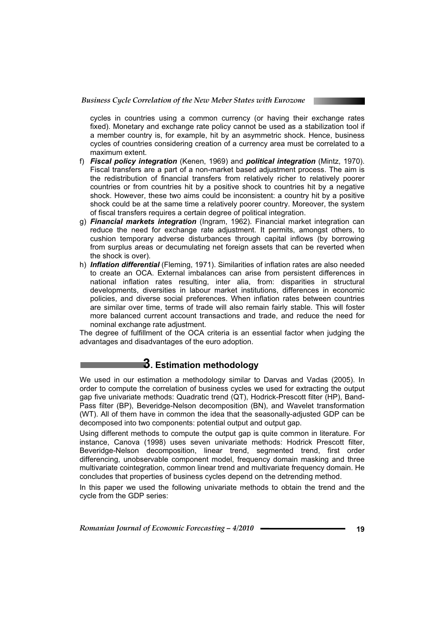

cycles in countries using a common currency (or having their exchange rates fixed). Monetary and exchange rate policy cannot be used as a stabilization tool if a member country is, for example, hit by an asymmetric shock. Hence, business cycles of countries considering creation of a currency area must be correlated to a maximum extent.

- f) *Fiscal policy integration* (Kenen, 1969) and *political integration* (Mintz, 1970). Fiscal transfers are a part of a non-market based adjustment process. The aim is the redistribution of financial transfers from relatively richer to relatively poorer countries or from countries hit by a positive shock to countries hit by a negative shock. However, these two aims could be inconsistent: a country hit by a positive shock could be at the same time a relatively poorer country. Moreover, the system of fiscal transfers requires a certain degree of political integration.
- g) *Financial markets integration* (Ingram, 1962). Financial market integration can reduce the need for exchange rate adjustment. It permits, amongst others, to cushion temporary adverse disturbances through capital inflows (by borrowing from surplus areas or decumulating net foreign assets that can be reverted when the shock is over).
- h) *Inflation differential* (Fleming, 1971). Similarities of inflation rates are also needed to create an OCA. External imbalances can arise from persistent differences in national inflation rates resulting, inter alia, from: disparities in structural developments, diversities in labour market institutions, differences in economic policies, and diverse social preferences. When inflation rates between countries are similar over time, terms of trade will also remain fairly stable. This will foster more balanced current account transactions and trade, and reduce the need for nominal exchange rate adjustment.

The degree of fulfillment of the OCA criteria is an essential factor when judging the advantages and disadvantages of the euro adoption.

## **3. Estimation methodology**

We used in our estimation a methodology similar to Darvas and Vadas (2005). In order to compute the correlation of business cycles we used for extracting the output gap five univariate methods: Quadratic trend (QT), Hodrick-Prescott filter (HP), Band-Pass filter (BP), Beveridge-Nelson decomposition (BN), and Wavelet transformation (WT). All of them have in common the idea that the seasonally-adjusted GDP can be decomposed into two components: potential output and output gap.

Using different methods to compute the output gap is quite common in literature. For instance, Canova (1998) uses seven univariate methods: Hodrick Prescott filter, Beveridge-Nelson decomposition, linear trend, segmented trend, first order differencing, unobservable component model, frequency domain masking and three multivariate cointegration, common linear trend and multivariate frequency domain. He concludes that properties of business cycles depend on the detrending method.

In this paper we used the following univariate methods to obtain the trend and the cycle from the GDP series: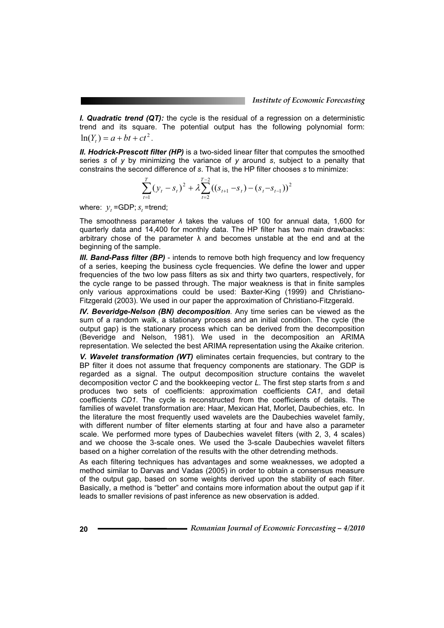*I. Quadratic trend (QT):* the cycle is the residual of a regression on a deterministic trend and its square. The potential output has the following polynomial form:  $\ln(Y) = a + bt + ct^2$ .

*II. Hodrick-Prescott filter (HP)* is a two-sided linear filter that computes the smoothed series *s* of *y* by minimizing the variance of *y* around *s*, subject to a penalty that constrains the second difference of *s*. That is, the HP filter chooses *s* to minimize:

$$
\sum_{t=1}^{T} (y_t - s_t)^2 + \lambda \sum_{t=2}^{T-2} ((s_{t+1} - s_t) - (s_t - s_{t-1}))^2
$$

where:  $y_t = GDP$ ;  $s_t$  =trend;

The smoothness parameter  $\lambda$  takes the values of 100 for annual data, 1,600 for quarterly data and 14,400 for monthly data. The HP filter has two main drawbacks: arbitrary chose of the parameter  $\lambda$  and becomes unstable at the end and at the beginning of the sample.

*III. Band-Pass filter (BP)* - intends to remove both high frequency and low frequency of a series, keeping the business cycle frequencies. We define the lower and upper frequencies of the two low pass filters as six and thirty two quarters, respectively, for the cycle range to be passed through. The major weakness is that in finite samples only various approximations could be used: Baxter-King (1999) and Christiano-Fitzgerald (2003). We used in our paper the approximation of Christiano-Fitzgerald.

*IV. Beveridge-Nelson (BN) decomposition*. Any time series can be viewed as the sum of a random walk, a stationary process and an initial condition. The cycle (the output gap) is the stationary process which can be derived from the decomposition (Beveridge and Nelson, 1981). We used in the decomposition an ARIMA representation. We selected the best ARIMA representation using the Akaike criterion.

*V. Wavelet transformation (WT)* eliminates certain frequencies, but contrary to the BP filter it does not assume that frequency components are stationary. The GDP is regarded as a signal. The output decomposition structure contains the wavelet decomposition vector *C* and the bookkeeping vector *L*. The first step starts from *s* and produces two sets of coefficients: approximation coefficients *CA1*, and detail coefficients *CD1*. The cycle is reconstructed from the coefficients of details. The families of wavelet transformation are: Haar, Mexican Hat, Morlet, Daubechies, etc. In the literature the most frequently used wavelets are the Daubechies wavelet family, with different number of filter elements starting at four and have also a parameter scale. We performed more types of Daubechies wavelet filters (with 2, 3, 4 scales) and we choose the 3-scale ones. We used the 3-scale Daubechies wavelet filters based on a higher correlation of the results with the other detrending methods.

As each filtering techniques has advantages and some weaknesses, we adopted a method similar to Darvas and Vadas (2005) in order to obtain a consensus measure of the output gap, based on some weights derived upon the stability of each filter. Basically, a method is "better" and contains more information about the output gap if it leads to smaller revisions of past inference as new observation is added.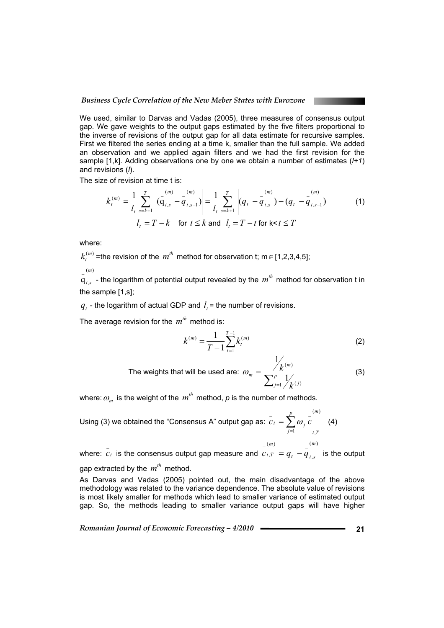We used, similar to Darvas and Vadas (2005), three measures of consensus output gap. We gave weights to the output gaps estimated by the five filters proportional to the inverse of revisions of the output gap for all data estimate for recursive samples. First we filtered the series ending at a time k, smaller than the full sample. We added an observation and we applied again filters and we had the first revision for the sample [1,k]. Adding observations one by one we obtain a number of estimates (*l+1*) and revisions (*l*).

The size of revision at time t is:

$$
k_t^{(m)} = \frac{1}{l_t} \sum_{s=k+1}^{T} \left| \left( \frac{m}{q}_{t,s} - \frac{m}{q}_{t,s-1} \right) \right| = \frac{1}{l_t} \sum_{s=k+1}^{T} \left| \left( q_t - \frac{m}{q}_{t,s} \right) - \left( q_t - \frac{m}{q}_{t,s-1} \right) \right|
$$
  
\n
$$
l_t = T - k \quad \text{for } t \le k \text{ and } l_t = T - t \text{ for } k < t \le T
$$
 (1)

where:

 $k_t^{(m)}$  =the revision of the  $m^{th}$  method for observation t; m  $\in$  [1,2,3,4,5];  $(m)$ 

 $\mathbf{q}_{t,s}$  - the logarithm of potential output revealed by the  $m^{\text{th}}$  method for observation t in the sample [1,s];

 $q_t$  - the logarithm of actual GDP and  $l_t$  = the number of revisions.

The average revision for the  $m^{th}$  method is:

$$
k^{(m)} = \frac{1}{T - 1} \sum_{t=1}^{T-1} k_t^{(m)}
$$
 (2)

 The weights that will be used are:  $\sum_{j=}^{p}$  $=\frac{1}{\sqrt{2}}$  $j=1$  / $\frac{1}{k}$   $(j$ *m m k k*  $\frac{1}{2}$   $\frac{1}{k}$  (j)  $(m)$ 1  $\omega_m = \frac{1}{\sqrt{2\pi}} \frac{R}{\sqrt{2\pi}}$  (3)

where:  $\omega_m^{}$  is the weight of the  $\left. m^{\textit{th}}\right.$  method,  $\rho$  is the number of methods.

Using (3) we obtained the "Consensus A" output gap as:  $(m)$  $\overline{1}$   $t$ .  $p \qquad (m$ *t T p*  $\bar{c}_t = \sum_{j=1}^{t} \omega_j \bar{c}$  (4)

$$
(m) \qquad \qquad (m)
$$

where:  $\overline{c}_t$  is the consensus output gap measure and  $T = q_t - q_t$  $c_{t,T} = q_t - \frac{q_{t,s}}{q_{t,s}}$  is the output gap extracted by the  $m^{th}$  method.

As Darvas and Vadas (2005) pointed out, the main disadvantage of the above methodology was related to the variance dependence. The absolute value of revisions is most likely smaller for methods which lead to smaller variance of estimated output gap. So, the methods leading to smaller variance output gaps will have higher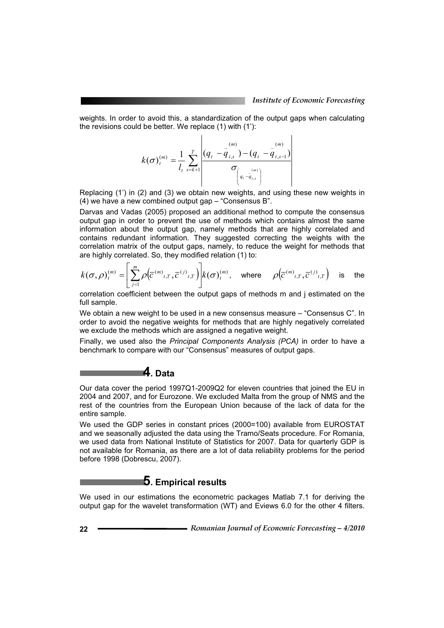weights. In order to avoid this, a standardization of the output gaps when calculating the revisions could be better. We replace (1) with (1'):

$$
k(\sigma)_{t}^{(m)} = \frac{1}{l_{t}} \sum_{s=k+1}^{T} \frac{\left| \left( q_{t} - \frac{1}{q}_{t,s} \right) - \left( q_{t} - \frac{1}{q}_{t,s-1} \right) \right|}{\sigma_{\left( q_{t} - q_{t,s} \right)}}
$$

Replacing (1') in (2) and (3) we obtain new weights, and using these new weights in (4) we have a new combined output gap – "Consensus B".

Darvas and Vadas (2005) proposed an additional method to compute the consensus output gap in order to prevent the use of methods which contains almost the same information about the output gap, namely methods that are highly correlated and contains redundant information. They suggested correcting the weights with the correlation matrix of the output gaps, namely, to reduce the weight for methods that are highly correlated. So, they modified relation (1) to:

$$
k(\sigma,\rho)_t^{(m)} = \left[ \sum_{j=1}^m \rho \left( \overline{c}^{(m)} t, T, \overline{c}^{(j)} t, T \right) \right] k(\sigma)_t^{(m)}, \text{ where } \rho \left( \overline{c}^{(m)} t, T, \overline{c}^{(j)} t, T \right) \text{ is the}
$$

correlation coefficient between the output gaps of methods m and j estimated on the full sample.

We obtain a new weight to be used in a new consensus measure – "Consensus C". In order to avoid the negative weights for methods that are highly negatively correlated we exclude the methods which are assigned a negative weight.

Finally, we used also the *Principal Components Analysis (PCA)* in order to have a benchmark to compare with our "Consensus" measures of output gaps.

## **4. Data**

Our data cover the period 1997Q1-2009Q2 for eleven countries that joined the EU in 2004 and 2007, and for Eurozone. We excluded Malta from the group of NMS and the rest of the countries from the European Union because of the lack of data for the entire sample.

We used the GDP series in constant prices (2000=100) available from EUROSTAT and we seasonally adjusted the data using the Tramo/Seats procedure. For Romania, we used data from National Institute of Statistics for 2007. Data for quarterly GDP is not available for Romania, as there are a lot of data reliability problems for the period before 1998 (Dobrescu, 2007).

## **5. Empirical results**

We used in our estimations the econometric packages Matlab 7.1 for deriving the output gap for the wavelet transformation (WT) and Eviews 6.0 for the other 4 filters.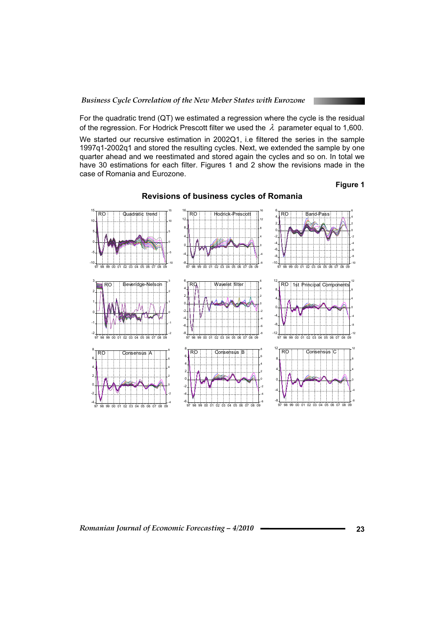For the quadratic trend (QT) we estimated a regression where the cycle is the residual of the regression. For Hodrick Prescott filter we used the  $\lambda$  parameter equal to 1,600.

We started our recursive estimation in 2002Q1, i.e filtered the series in the sample 1997q1-2002q1 and stored the resulting cycles. Next, we extended the sample by one quarter ahead and we reestimated and stored again the cycles and so on. In total we have 30 estimations for each filter. Figures 1 and 2 show the revisions made in the case of Romania and Eurozone.

#### **Figure 1**

-10 -5 0 5 10 15 -10 -5 0 5 10 15 97 98 99 00 01 02 03 04 05 06 07 08 09 Quadratic trend -8 -4 0 4 8 12 16 -8 -4 0 4 8 12 16 97 98 99 00 01 02 03 04 05 06 07 08 09 RO Hodrick-Prescott -10 -8 -6 -4 -2 0 2 4 6 -10 -8 -6 -4 -2 0 2 4 6 97 98 99 00 01 02 03 04 05 06 07 08 09 RO Band-Pass -2 -1 0 1 2 3 -2 -1 0 1 2 3 97 98 99 00 01 02 03 04 05 06 07 08 09 veridge-Nelson -8 -6 -4 -2 0 2 4 6 -8 -6 -4 -2 0 2 4 6 97 98 99 00 01 02 03 04 05 06 07 08 09 Wavelet filter -12 -8 -4 0 4 8 12 -12 -8 -4 4 8 12 97 98 99 00 01 02 03 04 05 06 07 08 09 Principal Component -4 -2 2 4 6 8 -4 -2 0 2 4 6 8 **Consensus** -8 -4 4 8 12 -8 -4 4 8 12 Consensus C -6 -4 -2 0 2 4 6 8 -6 -4 -2 0 2 4 6 8 97 98 99 00 01 02 03 04 05 06 07 08 09 Consensus B

## **Revisions of business cycles of Romania**

#### *Romanian Journal of Economic Forecasting – 4/2010* **<sup>23</sup>**

97 98 99 00 01 02 03 04 05 06 07 08 09

97 98 99 00 01 02 03 04 05 06 07 08 09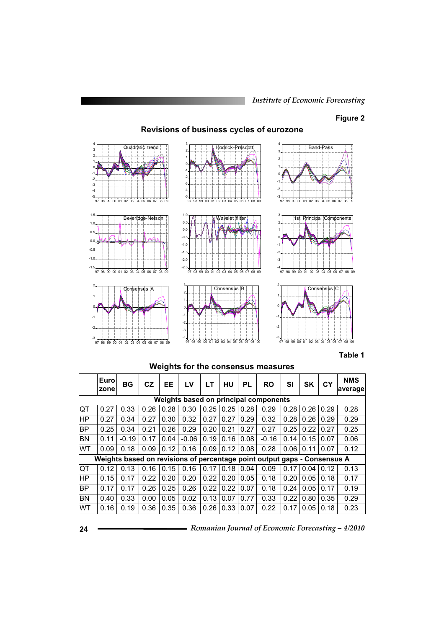*Institute of Economic Forecasting*

#### **Figure 2**

## **Revisions of business cycles of eurozone**



#### **Table 1**

**Weights for the consensus measures** 

|           | Euro <sup>®</sup><br><b>zone</b>      | BG      | <b>CZ</b> | EE   | LV      | LT   | HU   | PL   | <b>RO</b>                                                                | SI   | <b>SK</b> | CY   | <b>NMS</b><br>average |  |
|-----------|---------------------------------------|---------|-----------|------|---------|------|------|------|--------------------------------------------------------------------------|------|-----------|------|-----------------------|--|
|           | Weights based on principal components |         |           |      |         |      |      |      |                                                                          |      |           |      |                       |  |
| <b>QT</b> | 0.27                                  | 0.33    | 0.26      | 0.28 | 0.30    | 0.25 | 0.25 | 0.28 | 0.29                                                                     | 0.28 | 0.26      | 0.29 | 0.28                  |  |
| ∣HΡ       | 0.27                                  | 0.34    | 0.27      | 0.30 | 0.32    | 0.27 | 0.27 | 0.29 | 0.32                                                                     | 0.28 | 0.26      | 0.29 | 0.29                  |  |
| BP        | 0.25                                  | 0.34    | 0.21      | 0.26 | 0.29    | 0.20 | 0.21 | 0.27 | 0.27                                                                     | 0.25 | 0.22      | 0.27 | 0.25                  |  |
| <b>BN</b> | 0.11                                  | $-0.19$ | 0.17      | 0.04 | $-0.06$ | 0.19 | 0.16 | 0.08 | $-0.16$                                                                  | 0.14 | 0.15      | 0.07 | 0.06                  |  |
| <b>WT</b> | 0.09                                  | 0.18    | 0.09      | 0.12 | 0.16    | 0.09 | 0.12 | 0.08 | 0.28                                                                     | 0.06 | 0.11      | 0.07 | 0.12                  |  |
|           |                                       |         |           |      |         |      |      |      | Weights based on revisions of percentage point output gaps - Consensus A |      |           |      |                       |  |
| <b>QT</b> | 0.12                                  | 0.13    | 0.16      | 0.15 | 0.16    | 0.17 | 0.18 | 0.04 | 0.09                                                                     | 0.17 | 0.04      | 0.12 | 0.13                  |  |
| lНP       | 0.15                                  | 0.17    | 0.22      | 0.20 | 0.20    | 0.22 | 0.20 | 0.05 | 0.18                                                                     | 0.20 | 0.05      | 0.18 | 0.17                  |  |
| BP        | 0.17                                  | 0.17    | 0.26      | 0.25 | 0.26    | 0.22 | 0.22 | 0.07 | 0.18                                                                     | 0.24 | 0.05      | 0.17 | 0.19                  |  |
| <b>BN</b> | 0.40                                  | 0.33    | 0.00      | 0.05 | 0.02    | 0.13 | 0.07 | 0.77 | 0.33                                                                     | 0.22 | 0.80      | 0.35 | 0.29                  |  |
| <b>WT</b> | 0.16                                  | 0.19    | 0.36      | 0.35 | 0.36    | 0.26 | 0.33 | 0.07 | 0.22                                                                     | 0.17 | 0.05      | 0.18 | 0.23                  |  |

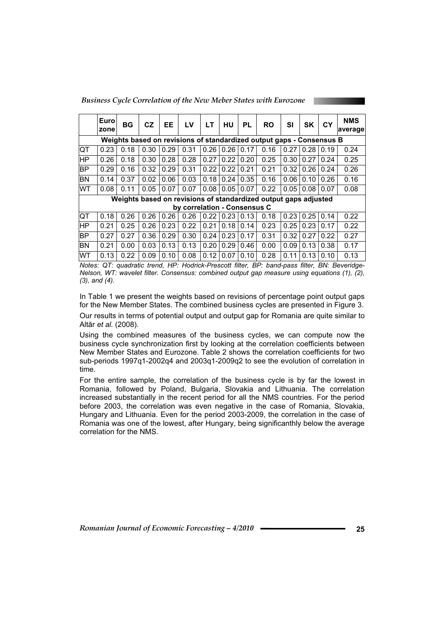*Business Cycle Correlation of the New Meber States with Eurozone* 

|                                                                      | Euro<br>zone | ВG   | CZ   | EE   | LV                           | LТ   | HU   | <b>PL</b> | <b>RO</b>                                                       | SI   | <b>SK</b> | CY   | <b>NMS</b><br>average |
|----------------------------------------------------------------------|--------------|------|------|------|------------------------------|------|------|-----------|-----------------------------------------------------------------|------|-----------|------|-----------------------|
| Weights based on revisions of standardized output gaps - Consensus B |              |      |      |      |                              |      |      |           |                                                                 |      |           |      |                       |
| <b>IQT</b>                                                           | 0.23         | 0.18 | 0.30 | 0.29 | 0.31                         | 0.26 | 0.26 | 0.17      | 0.16                                                            | 0.27 | 0.28      | 0.19 | 0.24                  |
| ∣HΡ                                                                  | 0.26         | 0.18 | 0.30 | 0.28 | 0.28                         | 0.27 | 0.22 | 0.20      | 0.25                                                            | 0.30 | 0.27      | 0.24 | 0.25                  |
| BP                                                                   | 0.29         | 0.16 | 0.32 | 0.29 | 0.31                         | 0.22 | 0.22 | 0.21      | 0.21                                                            | 0.32 | 0.26      | 0.24 | 0.26                  |
| ΒN                                                                   | 0.14         | 0.37 | 0.02 | 0.06 | 0.03                         | 0.18 | 0.24 | 0.35      | 0.16                                                            | 0.06 | 0.10      | 0.26 | 0.16                  |
| <b>WT</b>                                                            | 0.08         | 0.11 | 0.05 | 0.07 | 0.07                         | 0.08 | 0.05 | 0.07      | 0.22                                                            | 0.05 | 0.08      | 0.07 | 0.08                  |
|                                                                      |              |      |      |      |                              |      |      |           | Weights based on revisions of standardized output gaps adjusted |      |           |      |                       |
|                                                                      |              |      |      |      | by correlation - Consensus C |      |      |           |                                                                 |      |           |      |                       |
| <b>IQT</b>                                                           | 0.18         | 0.26 | 0.26 | 0.26 | 0.26                         | 0.22 | 0.23 | 0.13      | 0.18                                                            | 0.23 | 0.25      | 0.14 | 0.22                  |
| ΙHΡ                                                                  | 0.21         | 0.25 | 0.26 | 0.23 | 0.22                         | 0.21 | 0.18 | 0.14      | 0.23                                                            | 0.25 | 0.23      | 0.17 | 0.22                  |
| BP                                                                   | 0.27         | 0.27 | 0.36 | 0.29 | 0.30                         | 0.24 | 0.23 | 0.17      | 0.31                                                            | 0.32 | 0.27      | 0.22 | 0.27                  |
| ΙBΝ                                                                  | 0.21         | 0.00 | 0.03 | 0.13 | 0.13                         | 0.20 | 0.29 | 0.46      | 0.00                                                            | 0.09 | 0.13      | 0.38 | 0.17                  |
| WT                                                                   | 0.13         | 0.22 | 0.09 | 0.10 | 0.08                         | 0.12 | 0.07 | 0.10      | 0.28                                                            | 0.11 | 0.13      | 0.10 | 0.13                  |

*Notes: QT: quadratic trend, HP: Hodrick-Prescott filter, BP: band-pass filter, BN: Beveridge-Nelson, WT: wavelet filter. Consensus: combined output gap measure using equations (1), (2), (3), and (4).*

In Table 1 we present the weights based on revisions of percentage point output gaps for the New Member States. The combined business cycles are presented in Figure 3. Our results in terms of potential output and output gap for Romania are quite similar to Altăr *et al.* (2008).

Using the combined measures of the business cycles, we can compute now the business cycle synchronization first by looking at the correlation coefficients between New Member States and Eurozone. Table 2 shows the correlation coefficients for two sub-periods 1997q1-2002q4 and 2003q1-2009q2 to see the evolution of correlation in time.

For the entire sample, the correlation of the business cycle is by far the lowest in Romania, followed by Poland, Bulgaria, Slovakia and Lithuania. The correlation increased substantially in the recent period for all the NMS countries. For the period before 2003, the correlation was even negative in the case of Romania, Slovakia, Hungary and Lithuania. Even for the period 2003-2009, the correlation in the case of Romania was one of the lowest, after Hungary, being significanthly below the average correlation for the NMS.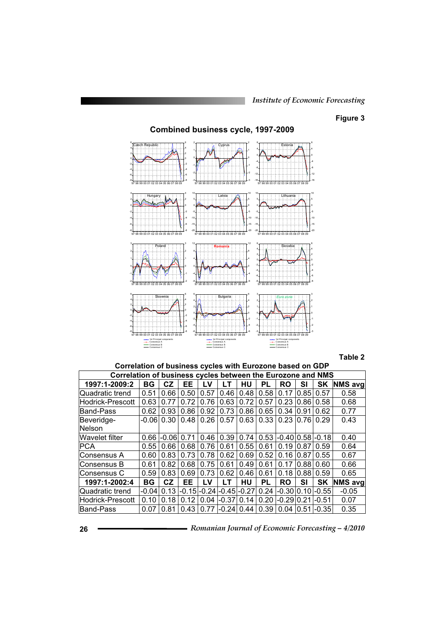## **Figure 3**

#### **Combined business cycle, 1997-2009**  -8 -6 -4 -2  $\mathbf 0$ 2 4 6 -8 -6 -4 -2  $\mathbf 0$ 2 4 6 97 98 99 00 01 02 03 04 05 06 07 08 09 Czech Republic -3 -2 -1 0 1 -3 -2 -1 1 97 98 99 00 01 02 03 04 05 06 07 08 09 Cyprus -16 -12 -8 -4 0 4 8 -16 -12 -8 -4 0 4 8 97 98 99 00 01 02 03 04 05 06 07 08 09 Estonia -8 -6 -4 -2  $\mathbf 0$ 2 4 -8 -6 -4 -2  $\mathbf 0$ 2 4 97 98 99 00 01 02 03 04 05 06 07 08 09 Hungary -20 -15 -10 -5 0 5 10 -20 -15 -10 -5 5 10 97 98 99 00 01 02 03 04 05 06 07 08 09 Latvia -20 -15 -10 -5 0 5 10 -20 -15 -10 -5  $\mathbf 0$ 5 10 97 98 99 00 01 02 03 04 05 06 07 08 09 Lithua -2 -1 0 1 2 3 -2 -1 0 1 2 3 97 98 99 00 01 02 03 04 05 06 07 08 09 Poland -8 -4 0 4 8 12 -8 -4 4 8 12 97 98 99 00 01 02 03 04 05 06 07 08 09 **Romania** -8 -6 -4 -2 0 2 4 6 -8 -6 -4 -2  $\mathbf 0$ 2 4 6 97 98 99 00 01 02 03 04 05 06 07 08 09 Slovakia -8 -6 -4 -2  $\mathbf 0$ 2 4 6 -8 -6 -4 -2  $\mathbf 0$ 2 4 6 97 98 99 00 01 02 03 04 05 06 07 08 09 1st Principal components Consensus A Consensus B Consensus C Slovenia -6 -4 -2 0 2 4 6 -6 -4 -2 0 2 4 6 97 98 99 00 01 02 03 04 05 06 07 08 09 1st Principal components Consensus A Consensus B Consensus C Bulgaria -3 -2 -1 0 1 2 3 -3 -2 -1 0 1 2 3 97 98 99 00 01 02 03 04 05 06 07 08 09 1st Principal components Consensus A Consensus B Consensus C *Euro zone*

#### **Table 2**

**Correlation of business cycles with Eurozone based on GDP** 

| Correlation of business cycles between the Eurozone and NMS |           |           |         |      |                 |         |      |           |      |                 |                |
|-------------------------------------------------------------|-----------|-----------|---------|------|-----------------|---------|------|-----------|------|-----------------|----------------|
| 1997:1-2009:2                                               | <b>BG</b> | CZ        | EE      | LV   | LТ              | HU      | PL   | <b>RO</b> | SI   | SK              | <b>NMS</b> avg |
| lQuadratic trend                                            | 0.51      | 0.66      | 0.50    | 0.57 | 0.46            | 0.48    | 0.58 | 0.17      | 0.85 | 0.57            | 0.58           |
| <b>Hodrick-Prescott</b>                                     | 0.63      | 0.77      | 0.72    | 0.76 | 0.63            | 0.72    | 0.57 | 0.23      | 0.86 | 0.58            | 0.68           |
| Band-Pass                                                   | 0.62      | 0.93      | 0.86    | 0.92 | 0.73            | 0.86    | 0.65 | 0.34      | 0.91 | 0.62            | 0.77           |
| Beveridge-                                                  | $-0.06$   | 0.30      | 0.48    | 0.26 | 0.57            | 0.63    | 0.33 | 0.23      | 0.76 | 0.29            | 0.43           |
| Nelson                                                      |           |           |         |      |                 |         |      |           |      |                 |                |
| Wavelet filter                                              | 0.66      | $-0.06$   | 0.71    | 0.46 | 0.39            | 0.74    | 0.53 | $-0.40$   |      | $ 0.58 $ -0.18  | 0.40           |
| <b>PCA</b>                                                  | 0.55      | 0.66      | 0.68    | 0.76 | 0.61            | 0.55    | 0.61 | 0.19      | 0.87 | 0.59            | 0.64           |
| Consensus A                                                 | 0.60      | 0.83      | 0.73    | 0.78 | 0.62            | 0.69    | 0.52 | 0.16      | 0.87 | 0.55            | 0.67           |
| Consensus B                                                 | 0.61      | 0.82      | 0.68    | 0.75 | 0.61            | 0.49    | 0.61 | 0.17      | 0.88 | 0.60            | 0.66           |
| Consensus C                                                 | 0.59      | 0.83      | 0.69    | 0.73 | 0.62            | 0.46    | 0.61 | 0.18      | 0.88 | 0.59            | 0.65           |
| 1997:1-2002:4                                               | <b>BG</b> | <b>CZ</b> | EE      | LV   | LТ              | HU      | PL   | <b>RO</b> | SI   | SK              | <b>NMS avg</b> |
| lQuadratic trend                                            | $-0.04$   | 0.13      | $-0.15$ |      | $-0.24$ $-0.45$ | $-0.27$ | 0.24 | $-0.30$   | 0.10 | $-0.55$         | $-0.05$        |
| Hodrick-Prescott                                            | 0.10      | 0.18      | 0.12    | 0.04 | $ -0.37 $       | 0.14    | 0.20 | $-0.29$   | 0.21 | $-0.51$         | 0.07           |
| Band-Pass                                                   | 0.07      | 0.81      | 0.43    | 0.77 | $-0.24$         | 0.44    | 0.39 | 0.04      |      | $0.51$ - $0.35$ | 0.35           |

| 26 | Romanian Journal of Economic Forecasting - 4/2010 |  |
|----|---------------------------------------------------|--|
|    |                                                   |  |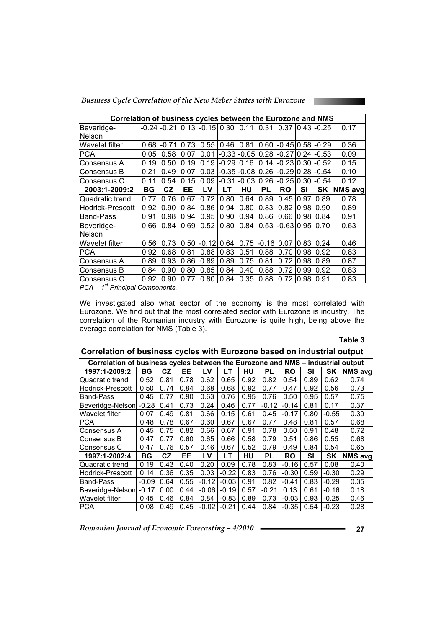*Business Cycle Correlation of the New Meber States with Eurozone* 

| Correlation of business cycles between the Eurozone and NMS |      |             |      |         |           |                   |         |               |       |                      |                |
|-------------------------------------------------------------|------|-------------|------|---------|-----------|-------------------|---------|---------------|-------|----------------------|----------------|
| Beveridge-                                                  |      | -0.24 -0.21 | 0.13 | $-0.15$ | 0.30      | 0.11              | 0.31    | 0.37          |       | $0.43 - 0.25$        | 0.17           |
| lNelson                                                     |      |             |      |         |           |                   |         |               |       |                      |                |
| Wavelet filter                                              | 0.68 | $-0.71$     | 0.73 | 0.55    | 0.46      | 0.81              | 0.60    |               |       | $-0.45 0.58 -0.29 $  | 0.36           |
| PCA                                                         | 0.05 | 0.58        | 0.07 | 0.01    |           | $-0.33$ $-0.05$   | 0.28    |               |       | $-0.27(0.24(-0.53))$ | 0.09           |
| Consensus A                                                 | 0.19 | 0.50        | 0.19 | 0.19    | $ -0.29 $ | 0.16              | 0.14    |               |       | $-0.23 0.30 -0.52$   | 0.15           |
| Consensus B                                                 | 0.21 | 0.49        | 0.07 | 0.03    |           | -0.35 -0.08  0.26 |         |               |       | $-0.2910.281-0.54$   | 0.10           |
| Consensus C                                                 | 0.11 | 0.54        | 0.15 | 0.09    | $-0.31$   | $-0.03$           | 0.26    | $-0.25$       |       | $0.30$ -0.54         | 0.12           |
| 2003:1-2009:2                                               | ΒG   | CZ          | EЕ   | LV      | LT        | HU                | PL      | RO            | SI    | SK                   | <b>NMS</b> avg |
| Quadratic trend                                             | 0.77 | 0.76        | 0.67 | 0.72    | 0.80      | 0.64              | 0.89    | 0.45          | 0.97  | 0.89                 | 0.78           |
| Hodrick-Prescott                                            | 0.92 | 0.90        | 0.84 | 0.86    | 0.94      | 0.80              | 0.83    | 0.82          | 0.98  | 0.90                 | 0.89           |
| <b>Band-Pass</b>                                            | 0.91 | 0.98        | 0.94 | 0.95    | 0.90      | 0.94              | 0.86    | 0.66          | 0.98  | 0.84                 | 0.91           |
| Beveridge-                                                  | 0.66 | 0.84        | 0.69 | 0.52    | 0.80      | 0.84              | 0.53    | $-0.63 0.95 $ |       | 0.70                 | 0.63           |
| Nelson                                                      |      |             |      |         |           |                   |         |               |       |                      |                |
| Wavelet filter                                              | 0.56 | 0.73        | 0.50 | $-0.12$ | 0.64      | 0.75              | $-0.16$ | 0.07          | 0.83  | 0.24                 | 0.46           |
| PCA                                                         | 0.92 | 0.68        | 0.81 | 0.88    | 0.83      | 0.51              | 0.88    | 0.70          | 0.98  | 0.92                 | 0.83           |
| Consensus A                                                 | 0.89 | 0.93        | 0.86 | 0.89    | 0.89      | 0.75              | 0.81    | 0.72          | 0.98  | 0.89                 | 0.87           |
| Consensus B                                                 | 0.84 | 0.90        | 0.80 | 0.85    | 0.84      | 0.40              | 0.88    | 0.72          | 0.991 | 0.92                 | 0.83           |
| Consensus C                                                 | 0.92 | 0.90        | 0.77 | 0.80    | 0.84      | 0.35              | 0.88    | 0.72          | 0.98  | 0.91                 | 0.83           |

*PCA – 1st Principal Components.* 

We investigated also what sector of the economy is the most correlated with Eurozone. We find out that the most correlated sector with Eurozone is industry. The correlation of the Romanian industry with Eurozone is quite high, being above the average correlation for NMS (Table 3).

#### **Table 3**

| Correlation of business cycles between the Eurozone and NMS – industrial output |         |      |      |         |         |      |           |           |           |           |                |
|---------------------------------------------------------------------------------|---------|------|------|---------|---------|------|-----------|-----------|-----------|-----------|----------------|
| 1997:1-2009:2                                                                   | BG      | CZ   | EE   | LV      | LТ      | HU   | PL        | <b>RO</b> | <b>SI</b> | SK        | <b>NMS</b> avg |
| Quadratic trend                                                                 | 0.52    | 0.81 | 0.78 | 0.62    | 0.65    | 0.92 | 0.82      | 0.54      | 0.89      | 0.62      | 0.74           |
| lHodrick-Prescott                                                               | 0.50    | 0.74 | 0.84 | 0.68    | 0.68    | 0.92 | 0.77      | 0.47      | 0.92      | 0.56      | 0.73           |
| Band-Pass                                                                       | 0.45    | 0.77 | 0.90 | 0.63    | 0.76    | 0.95 | 0.76      | 0.50      | 0.95      | 0.57      | 0.75           |
| Beveridge-Nelson                                                                | $-0.28$ | 0.41 | 0.73 | 0.24    | 0.46    | 0.77 | $-0.12$   | $-0.14$   | 0.81      | 0.17      | 0.37           |
| Wavelet filter                                                                  | 0.07    | 0.49 | 0.81 | 0.66    | 0.15    | 0.61 | 0.45      | $-0.17$   | 0.80      | $-0.55$   | 0.39           |
| PCA                                                                             | 0.48    | 0.78 | 0.67 | 0.60    | 0.67    | 0.67 | 0.77      | 0.48      | 0.81      | 0.57      | 0.68           |
| Consensus A                                                                     | 0.45    | 0.75 | 0.82 | 0.66    | 0.67    | 0.91 | 0.78      | 0.50      | 0.91      | 0.48      | 0.72           |
| Consensus B                                                                     | 0.47    | 0.77 | 0.60 | 0.65    | 0.66    | 0.58 | 0.79      | 0.51      | 0.86      | 0.55      | 0.68           |
| Consensus C                                                                     | 0.47    | 0.76 | 0.57 | 0.46    | 0.67    | 0.52 | 0.79      | 0.49      | 0.84      | 0.54      | 0.65           |
| 1997:1-2002:4                                                                   | ΒG      | CZ   | EE   | LV      | LТ      | HU   | <b>PL</b> | RO        | SI        | <b>SK</b> | <b>NMS</b> avg |
| lQuadratic trend                                                                | 0.19    | 0.43 | 0.40 | 0.20    | 0.09    | 0.78 | 0.83      | $-0.16$   | 0.57      | 0.08      | 0.40           |
| lHodrick-Prescott                                                               | 0.14    | 0.36 | 0.35 | 0.03    | $-0.22$ | 0.83 | 0.76      | $-0.30$   | 0.59      | $-0.30$   | 0.29           |
| Band-Pass                                                                       | $-0.09$ | 0.64 | 0.55 | $-0.12$ | $-0.03$ | 0.91 | 0.82      | $-0.41$   | 0.83      | $-0.29$   | 0.35           |
| Beveridge-Nelson                                                                | -0.17   | 0.00 | 0.44 | $-0.06$ | $-0.19$ | 0.57 | $-0.21$   | 0.13      | 0.61      | $-0.16$   | 0.18           |
| Wavelet filter                                                                  | 0.45    | 0.46 | 0.84 | 0.84    | $-0.83$ | 0.89 | 0.73      | $-0.03$   | 0.93      | $-0.25$   | 0.46           |
| IPCA                                                                            | 0.08    | 0.49 | 0.45 | $-0.02$ | $-0.21$ | 0.44 | 0.84      | $-0.35$   | 0.54      | $-0.23$   | 0.28           |

#### **Correlation of business cycles with Eurozone based on industrial output**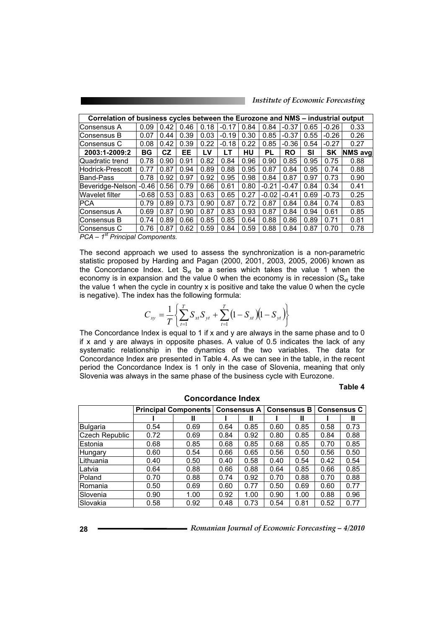*Institute of Economic Forecasting*

| Correlation of business cycles between the Eurozone and NMS – industrial output |         |      |           |      |         |      |           |           |      |           |                |
|---------------------------------------------------------------------------------|---------|------|-----------|------|---------|------|-----------|-----------|------|-----------|----------------|
| lConsensus A                                                                    | 0.09    | 0.42 | 0.46      | 0.18 | $-0.17$ | 0.84 | 0.84      | $-0.37$   | 0.65 | $-0.26$   | 0.33           |
| lConsensus B                                                                    | 0.07    | 0.44 | 0.39      | 0.03 | $-0.19$ | 0.30 | 0.85      | $-0.37$   | 0.55 | $-0.26$   | 0.26           |
| lConsensus C                                                                    | 0.08    | 0.42 | 0.39      | 0.22 | $-0.18$ | 0.22 | 0.85      | $-0.36$   | 0.54 | $-0.27$   | 0.27           |
| 2003:1-2009:2                                                                   | BG      | CZ.  | EE        | LV   | LΤ      | HU   | <b>PL</b> | <b>RO</b> | SI   | <b>SK</b> | <b>NMS</b> avg |
| Quadratic trend                                                                 | 0.78    | 0.90 | 0.91      | 0.82 | 0.84    | 0.96 | 0.90      | 0.85      | 0.95 | 0.75      | 0.88           |
| <b>Hodrick-Prescott</b>                                                         | 0.77    | 0.87 | 0.94      | 0.89 | 0.88    | 0.95 | 0.87      | 0.84      | 0.95 | 0.74      | 0.88           |
| Band-Pass                                                                       | 0.78    | 0.92 | 0.97      | 0.92 | 0.95    | 0.98 | 0.84      | 0.87      | 0.97 | 0.73      | 0.90           |
| Beveridge-Nelson                                                                | $-0.46$ | 0.56 | 0.79      | 0.66 | 0.61    | 0.80 | $-0.21$   | $-0.47$   | 0.84 | 0.34      | 0.41           |
| Wavelet filter                                                                  | $-0.68$ | 0.53 | 0.83      | 0.63 | 0.65    | 0.27 | $-0.02$   | $-0.41$   | 0.69 | $-0.73$   | 0.25           |
| IPCA                                                                            | 0.79    | 0.89 | 0.73      | 0.90 | 0.87    | 0.72 | 0.87      | 0.84      | 0.84 | 0.74      | 0.83           |
| lConsensus A                                                                    | 0.69    | 0.87 | 0.90      | 0.87 | 0.83    | 0.93 | 0.87      | 0.84      | 0.94 | 0.61      | 0.85           |
| lConsensus B                                                                    | 0.74    | 0.89 | 0.66      | 0.85 | 0.85    | 0.64 | 0.88      | 0.86      | 0.89 | 0.71      | 0.81           |
| lConsensus C                                                                    | 0.76    | 0.87 | .62<br>0. | 0.59 | 0.84    | 0.59 | 0.88      | 0.84      | 0.87 | 0.70      | 0.78           |
| 1st Dringinal Componente<br>DO A                                                |         |      |           |      |         |      |           |           |      |           |                |

*PCA – 1<sup>st</sup> Principal Components.* 

The second approach we used to assess the synchronization is a non-parametric statistic proposed by Harding and Pagan (2000, 2001, 2003, 2005, 2006) known as the Concordance Index. Let  $S_{xt}$  be a series which takes the value 1 when the economy is in expansion and the value 0 when the economy is in recession  $(S_{xt}$  take the value 1 when the cycle in country x is positive and take the value 0 when the cycle is negative). The index has the following formula:

$$
C_{xy} = \frac{1}{T} \left\{ \sum_{t=1}^{T} S_{xt} S_{yt} + \sum_{t=1}^{T} (1 - S_{xt}) (1 - S_{yt}) \right\}
$$

The Concordance Index is equal to 1 if x and y are always in the same phase and to  $0$ if x and y are always in opposite phases. A value of 0.5 indicates the lack of any systematic relationship in the dynamics of the two variables. The data for Concordance Index are presented in Table 4. As we can see in the table, in the recent period the Concordance Index is 1 only in the case of Slovenia, meaning that only Slovenia was always in the same phase of the business cycle with Eurozone.

**Table 4**

|                |      | <b>Principal Components</b> |      |      | <b>Consensus A</b> | <b>Consensus B</b> | <b>Consensus C</b> |      |
|----------------|------|-----------------------------|------|------|--------------------|--------------------|--------------------|------|
|                |      | Ш                           |      | Ш    |                    | Ш                  |                    | Ш    |
| Bulgaria       | 0.54 | 0.69                        | 0.64 | 0.85 | 0.60               | 0.85               | 0.58               | 0.73 |
| Czech Republic | 0.72 | 0.69                        | 0.84 | 0.92 | 0.80               | 0.85               | 0.84               | 0.88 |
| Estonia        | 0.68 | 0.85                        | 0.68 | 0.85 | 0.68               | 0.85               | 0.70               | 0.85 |
| Hungary        | 0.60 | 0.54                        | 0.66 | 0.65 | 0.56               | 0.50               | 0.56               | 0.50 |
| Lithuania      | 0.40 | 0.50                        | 0.40 | 0.58 | 0.40               | 0.54               | 0.42               | 0.54 |
| Latvia         | 0.64 | 0.88                        | 0.66 | 0.88 | 0.64               | 0.85               | 0.66               | 0.85 |
| Poland         | 0.70 | 0.88                        | 0.74 | 0.92 | 0.70               | 0.88               | 0.70               | 0.88 |
| Romania        | 0.50 | 0.69                        | 0.60 | 0.77 | 0.50               | 0.69               | 0.60               | 0.77 |
| Slovenia       | 0.90 | 1.00                        | 0.92 | 1.00 | 0.90               | 1.00               | 0.88               | 0.96 |
| Slovakia       | 0.58 | 0.92                        | 0.48 | 0.73 | 0.54               | 0.81               | 0.52               | 0.77 |

**Concordance Index**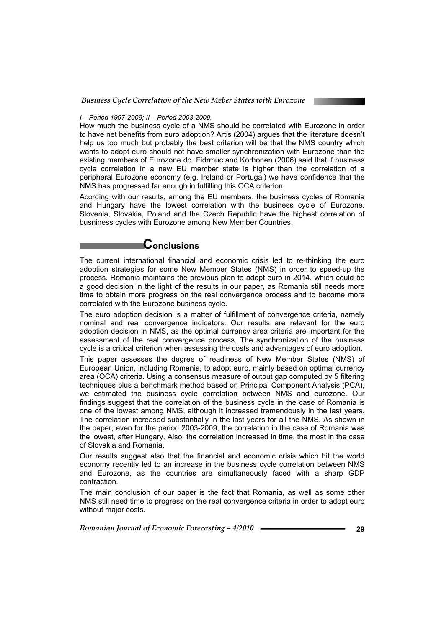

#### *I – Period 1997-2009; II – Period 2003-2009.*

How much the business cycle of a NMS should be correlated with Eurozone in order to have net benefits from euro adoption? Artis (2004) argues that the literature doesn't help us too much but probably the best criterion will be that the NMS country which wants to adopt euro should not have smaller synchronization with Eurozone than the existing members of Eurozone do. Fidrmuc and Korhonen (2006) said that if business cycle correlation in a new EU member state is higher than the correlation of a peripheral Eurozone economy (e.g. Ireland or Portugal) we have confidence that the NMS has progressed far enough in fulfilling this OCA criterion.

Acording with our results, among the EU members, the business cycles of Romania and Hungary have the lowest correlation with the business cycle of Eurozone. Slovenia, Slovakia, Poland and the Czech Republic have the highest correlation of busniness cycles with Eurozone among New Member Countries.

## **Conclusions**

The current international financial and economic crisis led to re-thinking the euro adoption strategies for some New Member States (NMS) in order to speed-up the process. Romania maintains the previous plan to adopt euro in 2014, which could be a good decision in the light of the results in our paper, as Romania still needs more time to obtain more progress on the real convergence process and to become more correlated with the Eurozone business cycle.

The euro adoption decision is a matter of fulfillment of convergence criteria, namely nominal and real convergence indicators. Our results are relevant for the euro adoption decision in NMS, as the optimal currency area criteria are important for the assessment of the real convergence process. The synchronization of the business cycle is a critical criterion when assessing the costs and advantages of euro adoption.

This paper assesses the degree of readiness of New Member States (NMS) of European Union, including Romania, to adopt euro, mainly based on optimal currency area (OCA) criteria. Using a consensus measure of output gap computed by 5 filtering techniques plus a benchmark method based on Principal Component Analysis (PCA), we estimated the business cycle correlation between NMS and eurozone. Our findings suggest that the correlation of the business cycle in the case of Romania is one of the lowest among NMS, although it increased tremendously in the last years. The correlation increased substantially in the last years for all the NMS. As shown in the paper, even for the period 2003-2009, the correlation in the case of Romania was the lowest, after Hungary. Also, the correlation increased in time, the most in the case of Slovakia and Romania.

Our results suggest also that the financial and economic crisis which hit the world economy recently led to an increase in the business cycle correlation between NMS and Eurozone, as the countries are simultaneously faced with a sharp GDP contraction.

The main conclusion of our paper is the fact that Romania, as well as some other NMS still need time to progress on the real convergence criteria in order to adopt euro without major costs.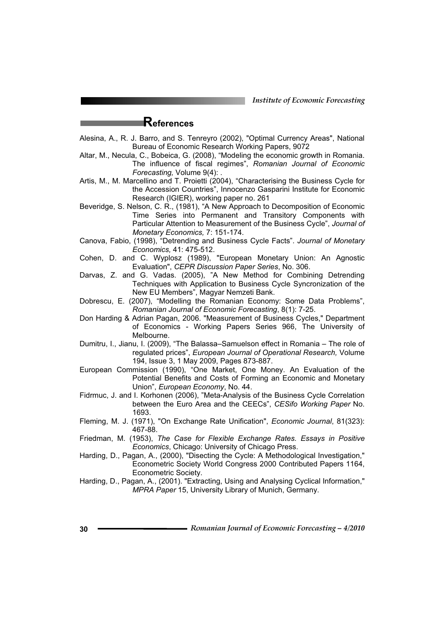*Institute of Economic Forecasting*

## **References**

- Alesina, A., R. J. Barro, and S. Tenreyro (2002), "Optimal Currency Areas", National Bureau of Economic Research Working Papers, 9072
- Altar, M., Necula, C., Bobeica, G. (2008), "Modeling the economic growth in Romania. The influence of fiscal regimes", *Romanian Journal of Economic Forecasting,* Volume 9(4): .
- Artis, M., M. Marcellino and T. Proietti (2004), "Characterising the Business Cycle for the Accession Countries", Innocenzo Gasparini Institute for Economic Research (IGIER), working paper no. 261
- Beveridge, S. Nelson, C. R., (1981), "A New Approach to Decomposition of Economic Time Series into Permanent and Transitory Components with Particular Attention to Measurement of the Business Cycle", *Journal of Monetary Economics,* 7: 151-174.
- Canova, Fabio, (1998), "Detrending and Business Cycle Facts". *Journal of Monetary Economics,* 41: 475-512.
- Cohen, D. and C. Wyplosz (1989), "European Monetary Union: An Agnostic Evaluation", *CEPR Discussion Paper Series*, No. 306.
- Darvas, Z. and G. Vadas. (2005), "A New Method for Combining Detrending Techniques with Application to Business Cycle Syncronization of the New EU Members", Magyar Nemzeti Bank.
- Dobrescu, E. (2007), "Modelling the Romanian Economy: Some Data Problems", *Romanian Journal of Economic Forecasting*, 8(1): 7-25.
- Don Harding & Adrian Pagan, 2006. "Measurement of Business Cycles," Department of Economics - Working Papers Series 966, The University of Melbourne.
- Dumitru, I., Jianu, I. (2009), "The Balassa–Samuelson effect in Romania The role of regulated prices", *European Journal of Operational Research,* Volume 194, Issue 3, 1 May 2009, Pages 873-887.
- European Commission (1990), "One Market, One Money. An Evaluation of the Potential Benefits and Costs of Forming an Economic and Monetary Union", *European Economy*, No. 44.
- Fidrmuc, J. and I. Korhonen (2006), "Meta-Analysis of the Business Cycle Correlation between the Euro Area and the CEECs", *CESifo Working Paper* No. 1693.
- Fleming, M. J. (1971), "On Exchange Rate Unification", *Economic Journal*, 81(323): 467-88.
- Friedman, M. (1953), *The Case for Flexible Exchange Rates. Essays in Positive Economics*, Chicago: University of Chicago Press.
- Harding, D., Pagan, A., (2000), "Disecting the Cycle: A Methodological Investigation," Econometric Society World Congress 2000 Contributed Papers 1164, Econometric Society.
- Harding, D., Pagan, A., (2001). "Extracting, Using and Analysing Cyclical Information," *MPRA Paper* 15, University Library of Munich, Germany.